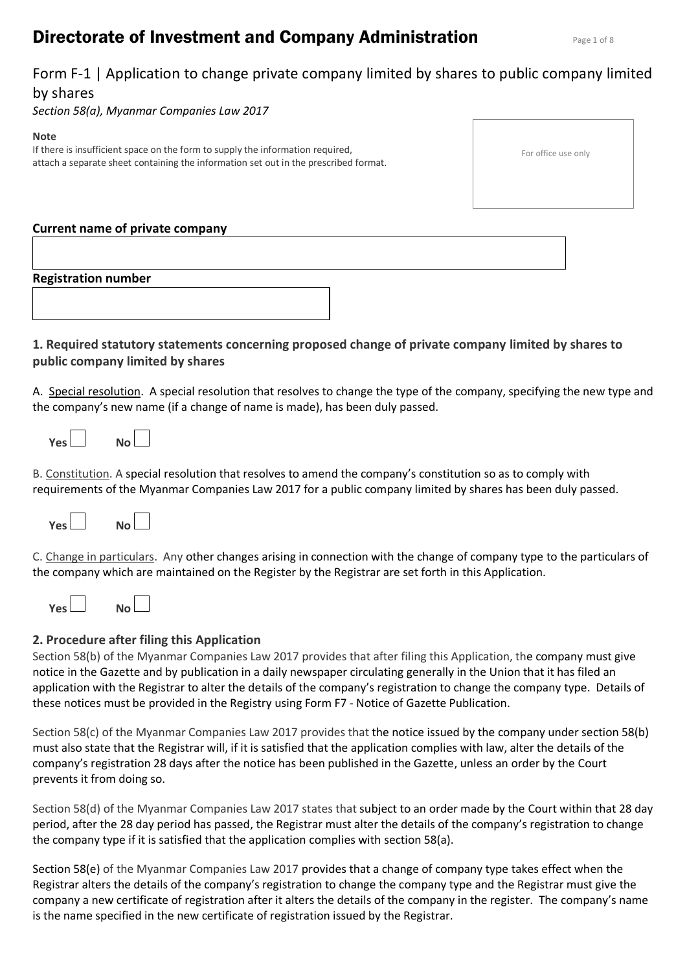# **Directorate of Investment and Company Administration Page 1 of 8 Rage 1 of 8**

# Form F-1 | Application to change private company limited by shares to public company limited by shares

*Section 58(a), Myanmar Companies Law 2017*

#### **Note**

If there is insufficient space on the form to supply the information required, attach a separate sheet containing the information set out in the prescribed format.

|  | For office use only |  |  |
|--|---------------------|--|--|
|--|---------------------|--|--|

## **Current name of private company**

**Registration number**

# **1. Required statutory statements concerning proposed change of private company limited by shares to public company limited by shares**

A. Special resolution. A special resolution that resolves to change the type of the company, specifying the new type and the company's new name (if a change of name is made), has been duly passed.

| Yes L<br>No l |  |
|---------------|--|
|---------------|--|

B. Constitution. A special resolution that resolves to amend the company's constitution so as to comply with requirements of the Myanmar Companies Law 2017 for a public company limited by shares has been duly passed.

| Yes I |  | No l |
|-------|--|------|
|       |  |      |

C. Change in particulars. Any other changes arising in connection with the change of company type to the particulars of the company which are maintained on the Register by the Registrar are set forth in this Application.

| Yes<br>No L |  |
|-------------|--|
|-------------|--|

# **2. Procedure after filing this Application**

Section 58(b) of the Myanmar Companies Law 2017 provides that after filing this Application, the company must give notice in the Gazette and by publication in a daily newspaper circulating generally in the Union that it has filed an application with the Registrar to alter the details of the company's registration to change the company type. Details of these notices must be provided in the Registry using Form F7 - Notice of Gazette Publication.

Section 58(c) of the Myanmar Companies Law 2017 provides that the notice issued by the company under section 58(b) must also state that the Registrar will, if it is satisfied that the application complies with law, alter the details of the company's registration 28 days after the notice has been published in the Gazette, unless an order by the Court prevents it from doing so.

Section 58(d) of the Myanmar Companies Law 2017 states that subject to an order made by the Court within that 28 day period, after the 28 day period has passed, the Registrar must alter the details of the company's registration to change the company type if it is satisfied that the application complies with section 58(a).

Section 58(e) of the Myanmar Companies Law 2017 provides that a change of company type takes effect when the Registrar alters the details of the company's registration to change the company type and the Registrar must give the company a new certificate of registration after it alters the details of the company in the register. The company's name is the name specified in the new certificate of registration issued by the Registrar.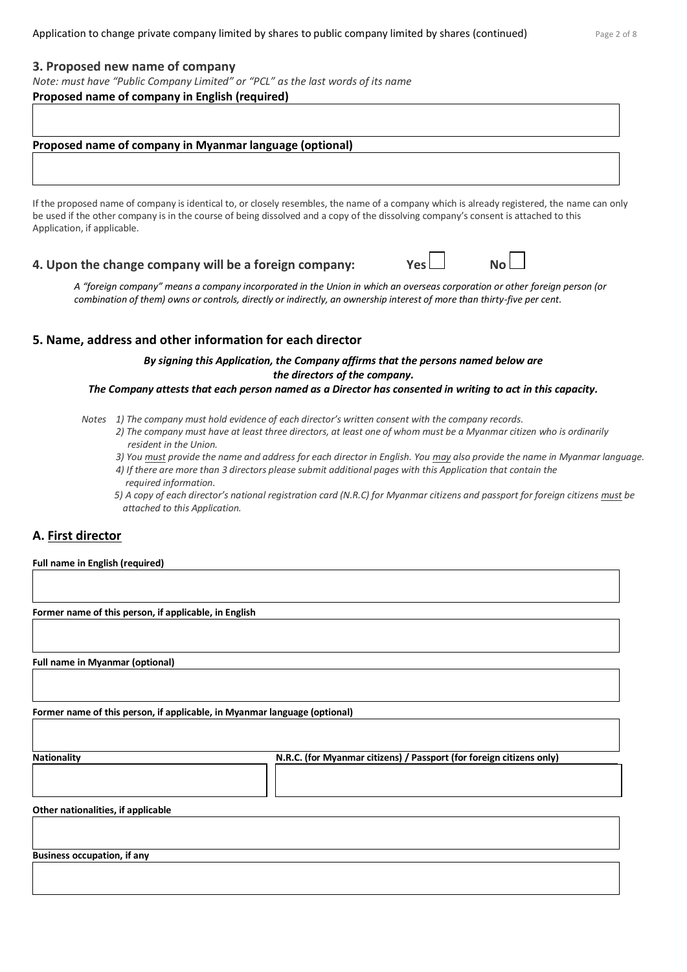#### **3. Proposed new name of company**

*Note: must have "Public Company Limited" or "PCL" as the last words of its name*

#### **Proposed name of company in English (required)**

#### **Proposed name of company in Myanmar language (optional)**

If the proposed name of company is identical to, or closely resembles, the name of a company which is already registered, the name can only be used if the other company is in the course of being dissolved and a copy of the dissolving company's consent is attached to this Application, if applicable.

## **4. Upon the change company will be a foreign company: Yes**  $\Box$  **No**

A "foreign company" means a company incorporated in the Union in which an overseas corporation or other foreign person (or *combination of them) owns or controls, directly or indirectly, an ownership interest of more than thirty-five per cent.*

### **5. Name, address and other information for each director**

*By signing this Application, the Company affirms that the persons named below are the directors of the company.* 

#### *The Company attests that each person named as a Director has consented in writing to act in this capacity.*

- *Notes 1) The company must hold evidence of each director's written consent with the company records.*
	- *2) The company must have at least three directors, at least one of whom must be a Myanmar citizen who is ordinarily resident in the Union.*
	- *3) You must provide the name and address for each director in English. You may also provide the name in Myanmar language.*
	- *4) If there are more than 3 directors please submit additional pages with this Application that contain the required information.*
	- *5) A copy of each director's national registration card (N.R.C) for Myanmar citizens and passport for foreign citizens must be attached to this Application.*

## **A. First director**

#### **Full name in English (required)**

**Former name of this person, if applicable, in English**

**Full name in Myanmar (optional)**

**Former name of this person, if applicable, in Myanmar language (optional)**

**Nationality N.R.C. (for Myanmar citizens) / Passport (for foreign citizens only)**

**Other nationalities, if applicable**

**Business occupation, if any**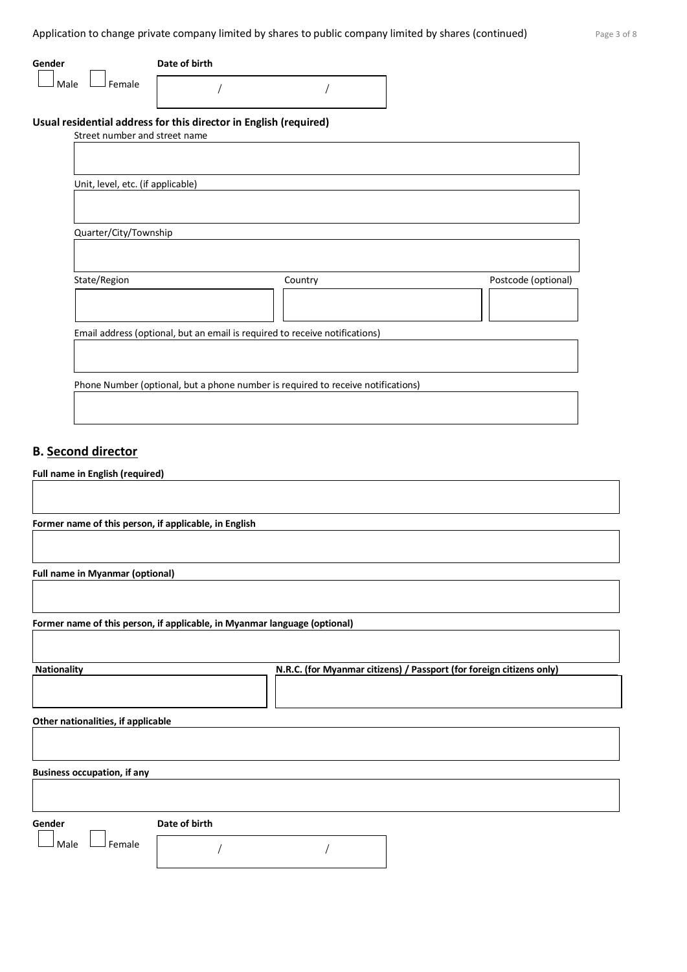| Gender                            | Date of birth                                                                    |         |                     |
|-----------------------------------|----------------------------------------------------------------------------------|---------|---------------------|
| Female<br>Male                    |                                                                                  |         |                     |
|                                   | Usual residential address for this director in English (required)                |         |                     |
|                                   | Street number and street name                                                    |         |                     |
|                                   |                                                                                  |         |                     |
|                                   |                                                                                  |         |                     |
| Unit, level, etc. (if applicable) |                                                                                  |         |                     |
|                                   |                                                                                  |         |                     |
|                                   |                                                                                  |         |                     |
| Quarter/City/Township             |                                                                                  |         |                     |
|                                   |                                                                                  |         |                     |
|                                   |                                                                                  |         |                     |
| State/Region                      |                                                                                  | Country | Postcode (optional) |
|                                   |                                                                                  |         |                     |
|                                   |                                                                                  |         |                     |
|                                   |                                                                                  |         |                     |
|                                   | Email address (optional, but an email is required to receive notifications)      |         |                     |
|                                   |                                                                                  |         |                     |
|                                   |                                                                                  |         |                     |
|                                   | Phone Number (optional, but a phone number is required to receive notifications) |         |                     |
|                                   |                                                                                  |         |                     |

# **B. Second director**

# **Full name in English (required)**

| Former name of this person, if applicable, in English |                                                                           |
|-------------------------------------------------------|---------------------------------------------------------------------------|
|                                                       |                                                                           |
|                                                       |                                                                           |
| <b>Full name in Myanmar (optional)</b>                |                                                                           |
|                                                       |                                                                           |
|                                                       |                                                                           |
|                                                       | Former name of this person, if applicable, in Myanmar language (optional) |
|                                                       |                                                                           |
|                                                       |                                                                           |
| <b>Nationality</b>                                    | N.R.C. (for Myanmar citizens) / Passport (for foreign citizens only)      |
|                                                       |                                                                           |
|                                                       |                                                                           |
| Other nationalities, if applicable                    |                                                                           |
|                                                       |                                                                           |
|                                                       |                                                                           |
| <b>Business occupation, if any</b>                    |                                                                           |
|                                                       |                                                                           |
|                                                       |                                                                           |
| Gender                                                | Date of birth                                                             |
| Female<br>Male                                        |                                                                           |
|                                                       |                                                                           |
|                                                       |                                                                           |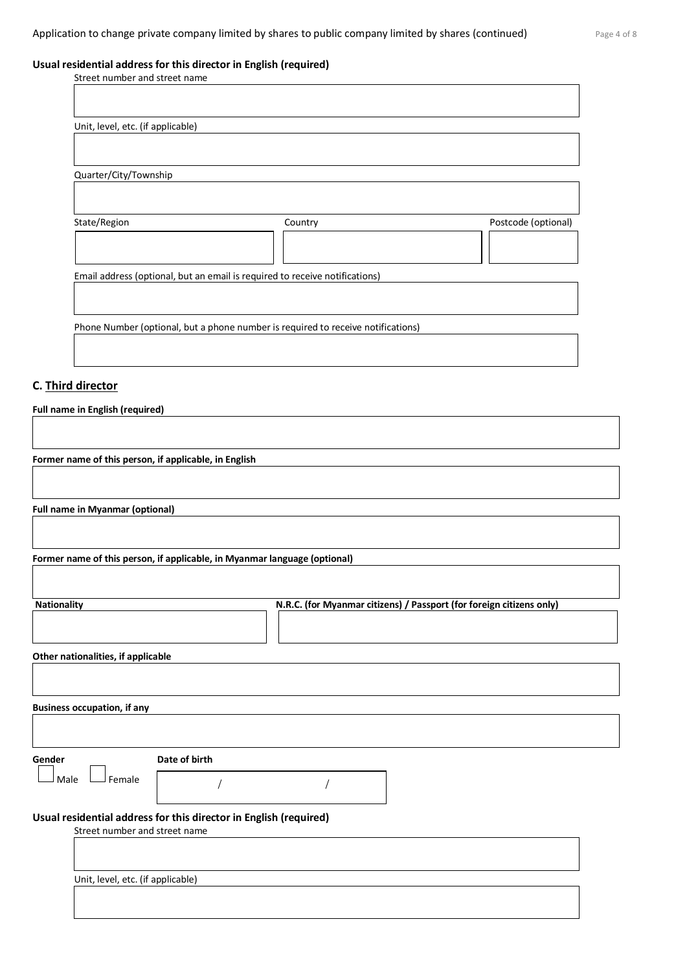# **Usual residential address for this director in English (required)**

| Street number and street name     |                                                                                  |                     |
|-----------------------------------|----------------------------------------------------------------------------------|---------------------|
|                                   |                                                                                  |                     |
|                                   |                                                                                  |                     |
| Unit, level, etc. (if applicable) |                                                                                  |                     |
|                                   |                                                                                  |                     |
|                                   |                                                                                  |                     |
| Quarter/City/Township             |                                                                                  |                     |
|                                   |                                                                                  |                     |
|                                   |                                                                                  |                     |
| State/Region                      | Country                                                                          | Postcode (optional) |
|                                   |                                                                                  |                     |
|                                   |                                                                                  |                     |
|                                   | Email address (optional, but an email is required to receive notifications)      |                     |
|                                   |                                                                                  |                     |
|                                   |                                                                                  |                     |
|                                   | Phone Number (optional, but a phone number is required to receive notifications) |                     |
|                                   |                                                                                  |                     |
|                                   |                                                                                  |                     |
|                                   |                                                                                  |                     |

# **C. Third director**

**Full name in English (required)**

**Former name of this person, if applicable, in English**

**Full name in Myanmar (optional)**

**Former name of this person, if applicable, in Myanmar language (optional)**

| <b>Nationality</b>                                                | N.R.C. (for Myanmar citizens) / Passport (for foreign citizens only) |
|-------------------------------------------------------------------|----------------------------------------------------------------------|
|                                                                   |                                                                      |
|                                                                   |                                                                      |
|                                                                   |                                                                      |
| Other nationalities, if applicable                                |                                                                      |
|                                                                   |                                                                      |
|                                                                   |                                                                      |
| <b>Business occupation, if any</b>                                |                                                                      |
|                                                                   |                                                                      |
|                                                                   |                                                                      |
|                                                                   |                                                                      |
| Date of birth<br>Gender                                           |                                                                      |
|                                                                   |                                                                      |
| Female<br>Male                                                    |                                                                      |
|                                                                   |                                                                      |
| Usual residential address for this director in English (required) |                                                                      |
| Street number and street name                                     |                                                                      |
|                                                                   |                                                                      |
|                                                                   |                                                                      |
|                                                                   |                                                                      |
| Unit, level, etc. (if applicable)                                 |                                                                      |
|                                                                   |                                                                      |
|                                                                   |                                                                      |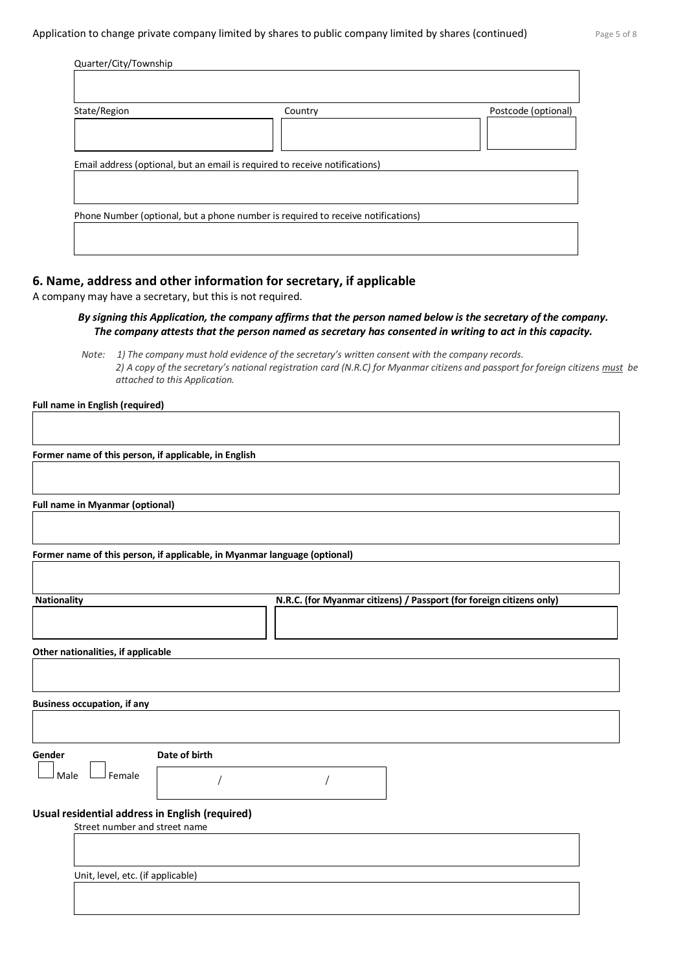| Quarter/City/Township |                                                                                  |                     |
|-----------------------|----------------------------------------------------------------------------------|---------------------|
|                       |                                                                                  |                     |
| State/Region          | Country                                                                          | Postcode (optional) |
|                       | Email address (optional, but an email is required to receive notifications)      |                     |
|                       | Phone Number (optional, but a phone number is required to receive notifications) |                     |
|                       |                                                                                  |                     |

# **6. Name, address and other information for secretary, if applicable**

A company may have a secretary, but this is not required.

### *By signing this Application, the company affirms that the person named below is the secretary of the company. The company attests that the person named as secretary has consented in writing to act in this capacity.*

*Note: 1) The company must hold evidence of the secretary's written consent with the company records. 2) A copy of the secretary's national registration card (N.R.C) for Myanmar citizens and passport for foreign citizens must be attached to this Application.* 

**Full name in English (required)**

**Former name of this person, if applicable, in English**

**Full name in Myanmar (optional)**

**Former name of this person, if applicable, in Myanmar language (optional)**

| <b>Nationality</b>                              |               | N.R.C. (for Myanmar citizens) / Passport (for foreign citizens only) |  |  |
|-------------------------------------------------|---------------|----------------------------------------------------------------------|--|--|
|                                                 |               |                                                                      |  |  |
| Other nationalities, if applicable              |               |                                                                      |  |  |
|                                                 |               |                                                                      |  |  |
| <b>Business occupation, if any</b>              |               |                                                                      |  |  |
|                                                 |               |                                                                      |  |  |
| Gender                                          | Date of birth |                                                                      |  |  |
| Female<br>Male                                  |               |                                                                      |  |  |
| Usual residential address in English (required) |               |                                                                      |  |  |
| Street number and street name                   |               |                                                                      |  |  |
|                                                 |               |                                                                      |  |  |
| Unit, level, etc. (if applicable)               |               |                                                                      |  |  |
|                                                 |               |                                                                      |  |  |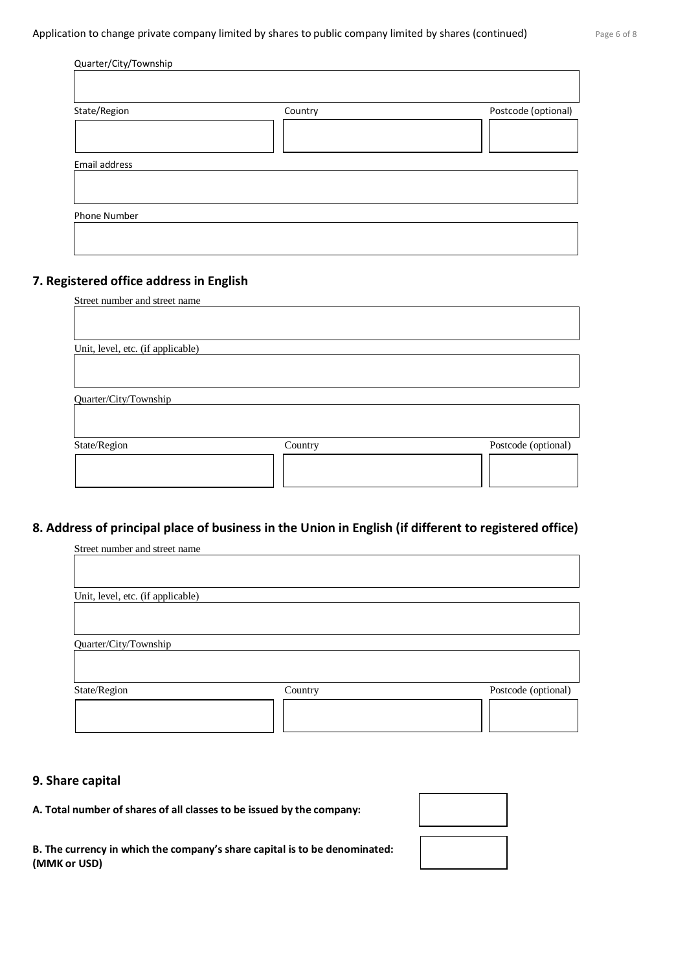| Quarter/City/Township |         |                     |
|-----------------------|---------|---------------------|
|                       |         |                     |
| State/Region          | Country | Postcode (optional) |
|                       |         |                     |
| Email address         |         |                     |
|                       |         |                     |
| Phone Number          |         |                     |

# **7. Registered office address in English**

| Street number and street name     |         |                     |
|-----------------------------------|---------|---------------------|
|                                   |         |                     |
|                                   |         |                     |
| Unit, level, etc. (if applicable) |         |                     |
|                                   |         |                     |
|                                   |         |                     |
|                                   |         |                     |
| Quarter/City/Township             |         |                     |
|                                   |         |                     |
|                                   |         |                     |
| State/Region                      | Country | Postcode (optional) |
|                                   |         |                     |
|                                   |         |                     |
|                                   |         |                     |

# **8. Address of principal place of business in the Union in English (if different to registered office)**

| Street number and street name     |         |                     |
|-----------------------------------|---------|---------------------|
|                                   |         |                     |
|                                   |         |                     |
| Unit, level, etc. (if applicable) |         |                     |
|                                   |         |                     |
|                                   |         |                     |
| Quarter/City/Township             |         |                     |
|                                   |         |                     |
|                                   |         |                     |
| State/Region                      | Country | Postcode (optional) |
|                                   |         |                     |
|                                   |         |                     |
|                                   |         |                     |

## **9. Share capital**

**A. Total number of shares of all classes to be issued by the company:**

**B. The currency in which the company's share capital is to be denominated: (MMK or USD)**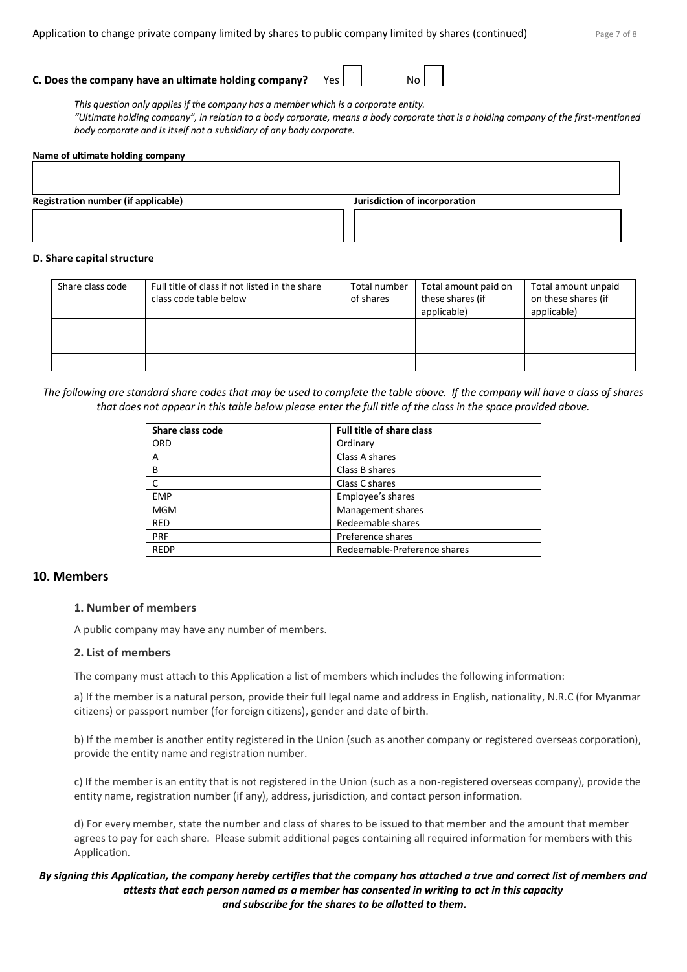## **C. Does the company have an ultimate holding company?** Yes | | No

*This question only applies if the company has a member which is a corporate entity. "Ultimate holding company", in relation to a body corporate, means a body corporate that is a holding company of the first-mentioned body corporate and is itself not a subsidiary of any body corporate.*

#### **Name of ultimate holding company**

**Registration number (if applicable) Jurisdiction of incorporation**

#### **D. Share capital structure**

| Share class code | Full title of class if not listed in the share<br>class code table below | Total number<br>of shares | Total amount paid on<br>these shares (if<br>applicable) | Total amount unpaid<br>on these shares (if<br>applicable) |
|------------------|--------------------------------------------------------------------------|---------------------------|---------------------------------------------------------|-----------------------------------------------------------|
|                  |                                                                          |                           |                                                         |                                                           |
|                  |                                                                          |                           |                                                         |                                                           |
|                  |                                                                          |                           |                                                         |                                                           |

*The following are standard share codes that may be used to complete the table above. If the company will have a class of shares that does not appear in this table below please enter the full title of the class in the space provided above.*

| Share class code | <b>Full title of share class</b> |
|------------------|----------------------------------|
| <b>ORD</b>       | Ordinary                         |
| Α                | Class A shares                   |
| B                | Class B shares                   |
|                  | Class C shares                   |
| <b>EMP</b>       | Employee's shares                |
| <b>MGM</b>       | Management shares                |
| <b>RED</b>       | Redeemable shares                |
| PRF              | Preference shares                |
| <b>REDP</b>      | Redeemable-Preference shares     |

#### **10. Members**

#### **1. Number of members**

A public company may have any number of members.

#### **2. List of members**

The company must attach to this Application a list of members which includes the following information:

a) If the member is a natural person, provide their full legal name and address in English, nationality, N.R.C (for Myanmar citizens) or passport number (for foreign citizens), gender and date of birth.

b) If the member is another entity registered in the Union (such as another company or registered overseas corporation), provide the entity name and registration number.

c) If the member is an entity that is not registered in the Union (such as a non-registered overseas company), provide the entity name, registration number (if any), address, jurisdiction, and contact person information.

d) For every member, state the number and class of shares to be issued to that member and the amount that member agrees to pay for each share. Please submit additional pages containing all required information for members with this Application.

#### *By signing this Application, the company hereby certifies that the company has attached a true and correct list of members and attests that each person named as a member has consented in writing to act in this capacity and subscribe for the shares to be allotted to them.*